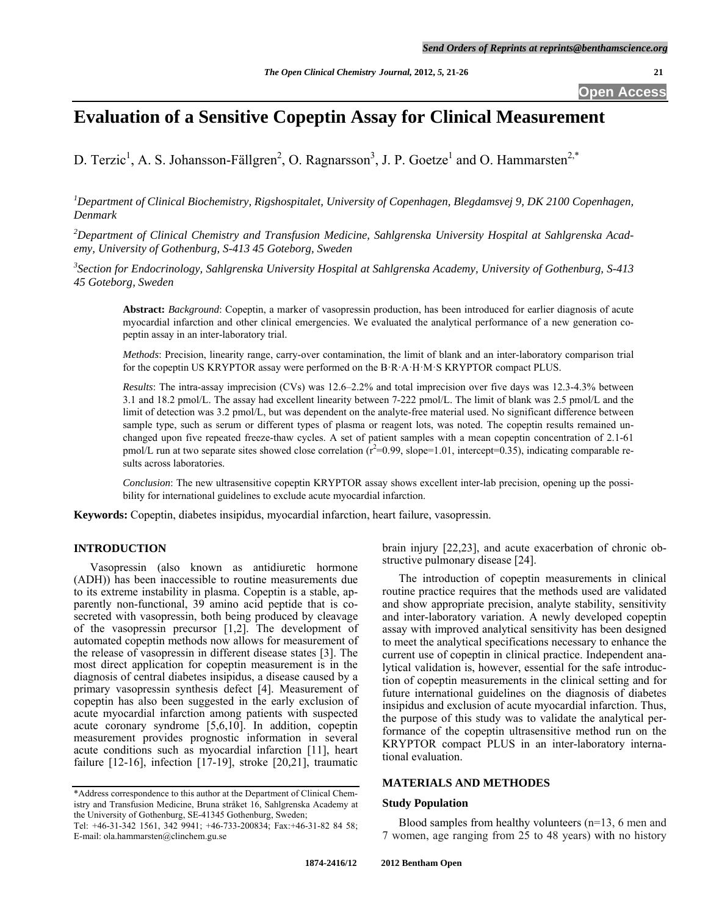## **Open Access**

# **Evaluation of a Sensitive Copeptin Assay for Clinical Measurement**

D. Terzic<sup>1</sup>, A. S. Johansson-Fällgren<sup>2</sup>, O. Ragnarsson<sup>3</sup>, J. P. Goetze<sup>1</sup> and O. Hammarsten<sup>2,\*</sup>

<sup>1</sup>Department of Clinical Biochemistry, Rigshospitalet, University of Copenhagen, Blegdamsvej 9, DK 2100 Copenhagen, *Denmark* 

*2 Department of Clinical Chemistry and Transfusion Medicine, Sahlgrenska University Hospital at Sahlgrenska Academy, University of Gothenburg, S-413 45 Goteborg, Sweden* 

*3 Section for Endocrinology, Sahlgrenska University Hospital at Sahlgrenska Academy, University of Gothenburg, S-413 45 Goteborg, Sweden* 

**Abstract:** *Background*: Copeptin, a marker of vasopressin production, has been introduced for earlier diagnosis of acute myocardial infarction and other clinical emergencies. We evaluated the analytical performance of a new generation copeptin assay in an inter-laboratory trial.

*Methods*: Precision, linearity range, carry-over contamination, the limit of blank and an inter-laboratory comparison trial for the copeptin US KRYPTOR assay were performed on the B·R·A·H·M·S KRYPTOR compact PLUS.

*Results*: The intra-assay imprecision (CVs) was 12.6–2.2% and total imprecision over five days was 12.3-4.3% between 3.1 and 18.2 pmol/L. The assay had excellent linearity between 7-222 pmol/L. The limit of blank was 2.5 pmol/L and the limit of detection was 3.2 pmol/L, but was dependent on the analyte-free material used. No significant difference between sample type, such as serum or different types of plasma or reagent lots, was noted. The copeptin results remained unchanged upon five repeated freeze-thaw cycles. A set of patient samples with a mean copeptin concentration of 2.1-61  $p$ mol/L run at two separate sites showed close correlation  $(r^2=0.99, slope=1.01, intercept=0.35)$ , indicating comparable results across laboratories.

*Conclusion*: The new ultrasensitive copeptin KRYPTOR assay shows excellent inter-lab precision, opening up the possibility for international guidelines to exclude acute myocardial infarction.

**Keywords:** Copeptin, diabetes insipidus, myocardial infarction, heart failure, vasopressin.

#### **INTRODUCTION**

 Vasopressin (also known as antidiuretic hormone (ADH)) has been inaccessible to routine measurements due to its extreme instability in plasma. Copeptin is a stable, apparently non-functional, 39 amino acid peptide that is cosecreted with vasopressin, both being produced by cleavage of the vasopressin precursor [1,2]. The development of automated copeptin methods now allows for measurement of the release of vasopressin in different disease states [3]. The most direct application for copeptin measurement is in the diagnosis of central diabetes insipidus, a disease caused by a primary vasopressin synthesis defect [4]. Measurement of copeptin has also been suggested in the early exclusion of acute myocardial infarction among patients with suspected acute coronary syndrome [5,6,10]. In addition, copeptin measurement provides prognostic information in several acute conditions such as myocardial infarction [11], heart failure  $[12-16]$ , infection  $[17-19]$ , stroke  $[20,21]$ , traumatic

brain injury [22,23], and acute exacerbation of chronic obstructive pulmonary disease [24].

 The introduction of copeptin measurements in clinical routine practice requires that the methods used are validated and show appropriate precision, analyte stability, sensitivity and inter-laboratory variation. A newly developed copeptin assay with improved analytical sensitivity has been designed to meet the analytical specifications necessary to enhance the current use of copeptin in clinical practice. Independent analytical validation is, however, essential for the safe introduction of copeptin measurements in the clinical setting and for future international guidelines on the diagnosis of diabetes insipidus and exclusion of acute myocardial infarction. Thus, the purpose of this study was to validate the analytical performance of the copeptin ultrasensitive method run on the KRYPTOR compact PLUS in an inter-laboratory international evaluation.

### **MATERIALS AND METHODES**

#### **Study Population**

 Blood samples from healthy volunteers (n=13, 6 men and 7 women, age ranging from 25 to 48 years) with no history

<sup>\*</sup>Address correspondence to this author at the Department of Clinical Chemistry and Transfusion Medicine, Bruna stråket 16, Sahlgrenska Academy at the University of Gothenburg, SE-41345 Gothenburg, Sweden;

Tel: +46-31-342 1561, 342 9941; +46-733-200834; Fax:+46-31-82 84 58; E-mail: ola.hammarsten@clinchem.gu.se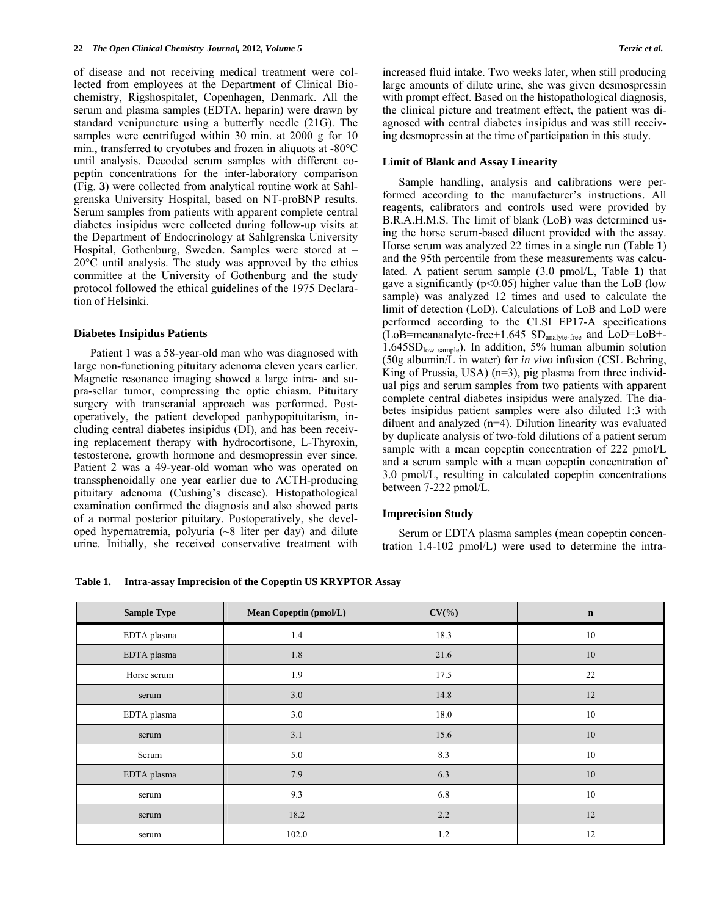of disease and not receiving medical treatment were collected from employees at the Department of Clinical Biochemistry, Rigshospitalet, Copenhagen, Denmark. All the serum and plasma samples (EDTA, heparin) were drawn by standard venipuncture using a butterfly needle (21G). The samples were centrifuged within 30 min. at 2000 g for 10 min., transferred to cryotubes and frozen in aliquots at -80°C until analysis. Decoded serum samples with different copeptin concentrations for the inter-laboratory comparison (Fig. **3**) were collected from analytical routine work at Sahlgrenska University Hospital, based on NT-proBNP results. Serum samples from patients with apparent complete central diabetes insipidus were collected during follow-up visits at the Department of Endocrinology at Sahlgrenska University Hospital, Gothenburg, Sweden. Samples were stored at – 20°C until analysis. The study was approved by the ethics committee at the University of Gothenburg and the study protocol followed the ethical guidelines of the 1975 Declaration of Helsinki.

#### **Diabetes Insipidus Patients**

 Patient 1 was a 58-year-old man who was diagnosed with large non-functioning pituitary adenoma eleven years earlier. Magnetic resonance imaging showed a large intra- and supra-sellar tumor, compressing the optic chiasm. Pituitary surgery with transcranial approach was performed. Postoperatively, the patient developed panhypopituitarism, including central diabetes insipidus (DI), and has been receiving replacement therapy with hydrocortisone, L-Thyroxin, testosterone, growth hormone and desmopressin ever since. Patient 2 was a 49-year-old woman who was operated on transsphenoidally one year earlier due to ACTH-producing pituitary adenoma (Cushing's disease). Histopathological examination confirmed the diagnosis and also showed parts of a normal posterior pituitary. Postoperatively, she developed hypernatremia, polyuria (~8 liter per day) and dilute urine. Initially, she received conservative treatment with increased fluid intake. Two weeks later, when still producing large amounts of dilute urine, she was given desmospressin with prompt effect. Based on the histopathological diagnosis, the clinical picture and treatment effect, the patient was diagnosed with central diabetes insipidus and was still receiving desmopressin at the time of participation in this study.

#### **Limit of Blank and Assay Linearity**

 Sample handling, analysis and calibrations were performed according to the manufacturer's instructions. All reagents, calibrators and controls used were provided by B.R.A.H.M.S. The limit of blank (LoB) was determined using the horse serum-based diluent provided with the assay. Horse serum was analyzed 22 times in a single run (Table **1**) and the 95th percentile from these measurements was calculated. A patient serum sample (3.0 pmol/L, Table **1**) that gave a significantly ( $p<0.05$ ) higher value than the LoB (low sample) was analyzed 12 times and used to calculate the limit of detection (LoD). Calculations of LoB and LoD were performed according to the CLSI EP17-A specifications  $(LoB=$ meananalyte-free+1.645  $SD<sub>analyte-free</sub>$  and  $LoD=LoB+$ -1.645SDlow sample). In addition, 5% human albumin solution (50g albumin/L in water) for *in vivo* infusion (CSL Behring, King of Prussia, USA) (n=3), pig plasma from three individual pigs and serum samples from two patients with apparent complete central diabetes insipidus were analyzed. The diabetes insipidus patient samples were also diluted 1:3 with diluent and analyzed (n=4). Dilution linearity was evaluated by duplicate analysis of two-fold dilutions of a patient serum sample with a mean copeptin concentration of 222 pmol/L and a serum sample with a mean copeptin concentration of 3.0 pmol/L, resulting in calculated copeptin concentrations between 7-222 pmol/L.

#### **Imprecision Study**

 Serum or EDTA plasma samples (mean copeptin concentration 1.4-102 pmol/L) were used to determine the intra-

**Table 1. Intra-assay Imprecision of the Copeptin US KRYPTOR Assay** 

| <b>Sample Type</b> | <b>Mean Copeptin (pmol/L)</b> | $CV(\% )$ | $\mathbf n$ |
|--------------------|-------------------------------|-----------|-------------|
| EDTA plasma        | 1.4                           | 18.3      | 10          |
| EDTA plasma        | 1.8                           | 21.6      | 10          |
| Horse serum        | 1.9                           | 17.5      | 22          |
| serum              | 3.0                           | 14.8      | 12          |
| EDTA plasma        | 3.0                           | 18.0      | 10          |
| serum              | 3.1                           | 15.6      | 10          |
| Serum              | 5.0                           | 8.3       | 10          |
| EDTA plasma        | 7.9                           | 6.3       | $10\,$      |
| serum              | 9.3                           | 6.8       | 10          |
| serum              | 18.2                          | 2.2       | 12          |
| serum              | 102.0                         | 1.2       | 12          |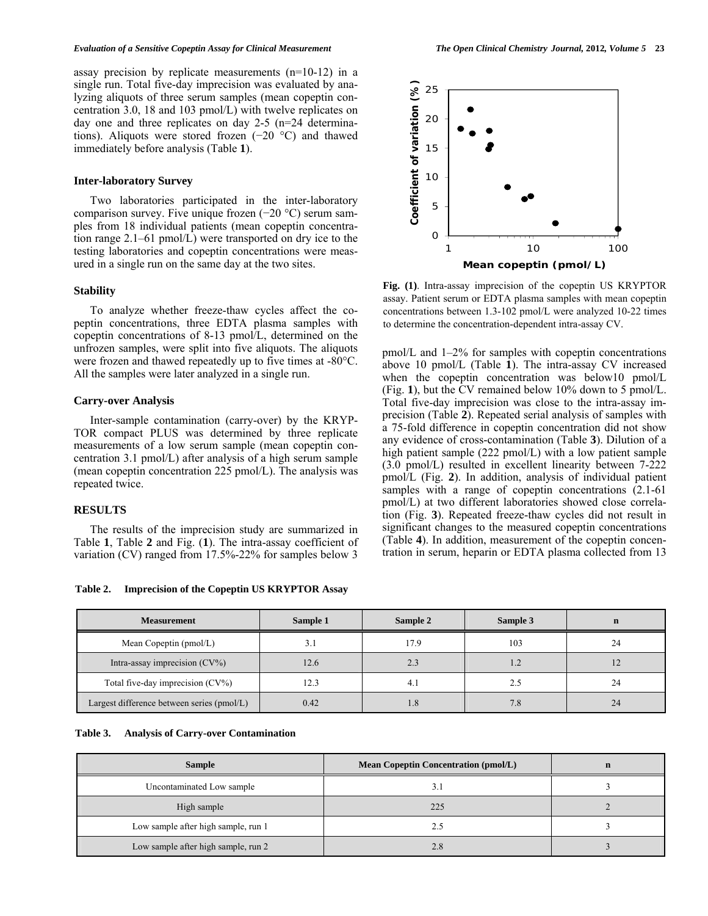#### *Evaluation of a Sensitive Copeptin Assay for Clinical Measurement The Open Clinical Chemistry Journal,* **2012***, Volume 5* **23**

assay precision by replicate measurements (n=10-12) in a single run. Total five-day imprecision was evaluated by analyzing aliquots of three serum samples (mean copeptin concentration 3.0, 18 and 103 pmol/L) with twelve replicates on day one and three replicates on day 2-5 (n=24 determinations). Aliquots were stored frozen (−20 °C) and thawed immediately before analysis (Table **1**).

#### **Inter-laboratory Survey**

 Two laboratories participated in the inter-laboratory comparison survey. Five unique frozen (−20 °C) serum samples from 18 individual patients (mean copeptin concentration range 2.1–61 pmol/L) were transported on dry ice to the testing laboratories and copeptin concentrations were measured in a single run on the same day at the two sites.

#### **Stability**

 To analyze whether freeze-thaw cycles affect the copeptin concentrations, three EDTA plasma samples with copeptin concentrations of 8-13 pmol/L, determined on the unfrozen samples, were split into five aliquots. The aliquots were frozen and thawed repeatedly up to five times at -80°C. All the samples were later analyzed in a single run.

#### **Carry-over Analysis**

 Inter-sample contamination (carry-over) by the KRYP-TOR compact PLUS was determined by three replicate measurements of a low serum sample (mean copeptin concentration 3.1 pmol/L) after analysis of a high serum sample (mean copeptin concentration 225 pmol/L). The analysis was repeated twice.

#### **RESULTS**

 The results of the imprecision study are summarized in Table **1**, Table **2** and Fig. (**1**). The intra-assay coefficient of variation (CV) ranged from 17.5%-22% for samples below 3

**Table 2. Imprecision of the Copeptin US KRYPTOR Assay** 



**Fig. (1)**. Intra-assay imprecision of the copeptin US KRYPTOR assay. Patient serum or EDTA plasma samples with mean copeptin concentrations between 1.3-102 pmol/L were analyzed 10-22 times to determine the concentration-dependent intra-assay CV.

pmol/L and 1–2% for samples with copeptin concentrations above 10 pmol/L (Table **1**). The intra-assay CV increased when the copeptin concentration was below10 pmol/L (Fig. **1**), but the CV remained below 10% down to 5 pmol/L. Total five-day imprecision was close to the intra-assay imprecision (Table **2**). Repeated serial analysis of samples with a 75-fold difference in copeptin concentration did not show any evidence of cross-contamination (Table **3**). Dilution of a high patient sample (222 pmol/L) with a low patient sample (3.0 pmol/L) resulted in excellent linearity between 7-222 pmol/L (Fig. **2**). In addition, analysis of individual patient samples with a range of copeptin concentrations  $(2.1-61)$ pmol/L) at two different laboratories showed close correlation (Fig. **3**). Repeated freeze-thaw cycles did not result in significant changes to the measured copeptin concentrations (Table **4**). In addition, measurement of the copeptin concentration in serum, heparin or EDTA plasma collected from 13

| <b>Measurement</b>                         | Sample 1 | Sample 2 | Sample 3 |    |
|--------------------------------------------|----------|----------|----------|----|
| Mean Copeptin (pmol/L)                     |          | 17.9     | 103      | 24 |
| Intra-assay imprecision $(CV\%)$           | 12.6     | 2.3      |          |    |
| Total five-day imprecision (CV%)           | 12.3     | 4.1      |          | 24 |
| Largest difference between series (pmol/L) | 0.42     | 1.8      | 7.8      | 24 |

| Table 3. |  |  | <b>Analysis of Carry-over Contamination</b> |
|----------|--|--|---------------------------------------------|
|----------|--|--|---------------------------------------------|

| <b>Sample</b>                       | <b>Mean Copeptin Concentration (pmol/L)</b> |  |
|-------------------------------------|---------------------------------------------|--|
| Uncontaminated Low sample           |                                             |  |
| High sample                         | 225                                         |  |
| Low sample after high sample, run 1 | 2.5                                         |  |
| Low sample after high sample, run 2 | 2.8                                         |  |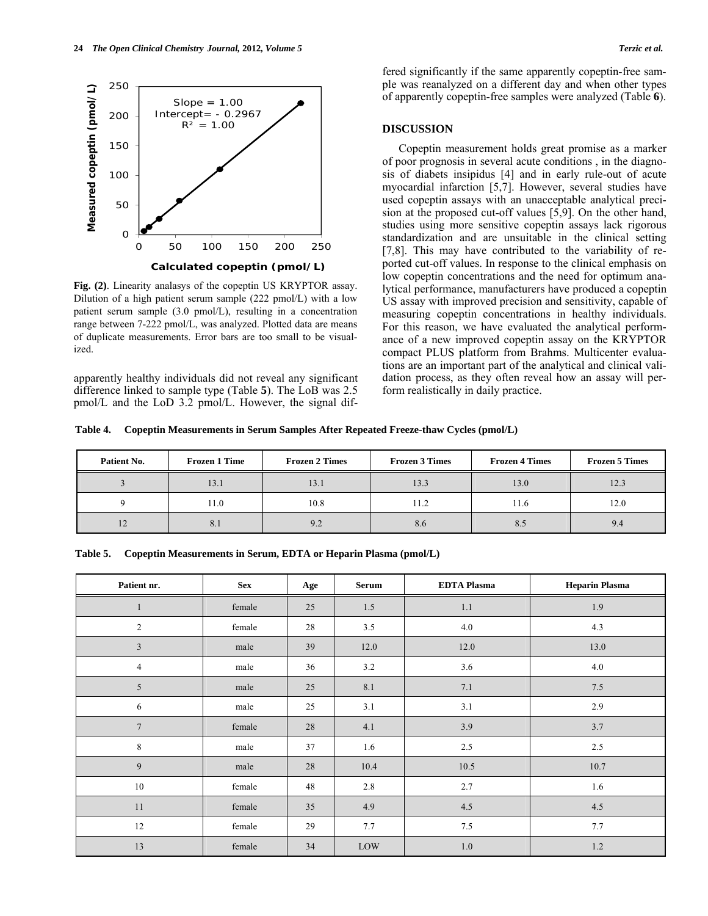

**Fig. (2)**. Linearity analasys of the copeptin US KRYPTOR assay. Dilution of a high patient serum sample (222 pmol/L) with a low patient serum sample (3.0 pmol/L), resulting in a concentration range between 7-222 pmol/L, was analyzed. Plotted data are means of duplicate measurements. Error bars are too small to be visualized.

apparently healthy individuals did not reveal any significant difference linked to sample type (Table **5**). The LoB was 2.5 pmol/L and the LoD 3.2 pmol/L. However, the signal differed significantly if the same apparently copeptin-free sample was reanalyzed on a different day and when other types of apparently copeptin-free samples were analyzed (Table **6**).

#### **DISCUSSION**

 Copeptin measurement holds great promise as a marker of poor prognosis in several acute conditions , in the diagnosis of diabets insipidus [4] and in early rule-out of acute myocardial infarction [5,7]. However, several studies have used copeptin assays with an unacceptable analytical precision at the proposed cut-off values [5,9]. On the other hand, studies using more sensitive copeptin assays lack rigorous standardization and are unsuitable in the clinical setting [7,8]. This may have contributed to the variability of reported cut-off values. In response to the clinical emphasis on low copeptin concentrations and the need for optimum analytical performance, manufacturers have produced a copeptin US assay with improved precision and sensitivity, capable of measuring copeptin concentrations in healthy individuals. For this reason, we have evaluated the analytical performance of a new improved copeptin assay on the KRYPTOR compact PLUS platform from Brahms. Multicenter evaluations are an important part of the analytical and clinical validation process, as they often reveal how an assay will perform realistically in daily practice.

**Table 4. Copeptin Measurements in Serum Samples After Repeated Freeze-thaw Cycles (pmol/L)** 

| Patient No. | <b>Frozen 1 Time</b> | <b>Frozen 2 Times</b> | <b>Frozen 3 Times</b> | <b>Frozen 4 Times</b> | <b>Frozen 5 Times</b> |
|-------------|----------------------|-----------------------|-----------------------|-----------------------|-----------------------|
|             | 13.1                 | 13.1                  | 13.3                  | 13.0                  | 12.3                  |
|             | 11.0                 | 10.8                  | 11.2                  | 11.6                  | 12.0                  |
|             | ð. I                 | 9.2                   | 8.6                   | 8.5                   | 9.4                   |

**Table 5. Copeptin Measurements in Serum, EDTA or Heparin Plasma (pmol/L)** 

| Patient nr.    | <b>Sex</b> | Age | <b>Serum</b> | <b>EDTA Plasma</b> | <b>Heparin Plasma</b> |
|----------------|------------|-----|--------------|--------------------|-----------------------|
|                | female     | 25  | 1.5          | 1.1                | 1.9                   |
| $\overline{c}$ | female     | 28  | 3.5          | 4.0                | 4.3                   |
| $\mathfrak{Z}$ | male       | 39  | 12.0         | 12.0               | 13.0                  |
| $\overline{4}$ | male       | 36  | 3.2          | 3.6                | 4.0                   |
| 5              | male       | 25  | 8.1          | 7.1                | 7.5                   |
| 6              | male       | 25  | 3.1          | $3.1$              | 2.9                   |
| $\overline{7}$ | female     | 28  | 4.1          | 3.9                | 3.7                   |
| 8              | male       | 37  | 1.6          | $2.5\,$            | 2.5                   |
| 9              | male       | 28  | 10.4         | 10.5               | 10.7                  |
| 10             | female     | 48  | 2.8          | 2.7                | 1.6                   |
| 11             | female     | 35  | 4.9          | $4.5\,$            | 4.5                   |
| $12\,$         | female     | 29  | 7.7          | $7.5\,$            | 7.7                   |
| 13             | female     | 34  | LOW          | 1.0                | 1.2                   |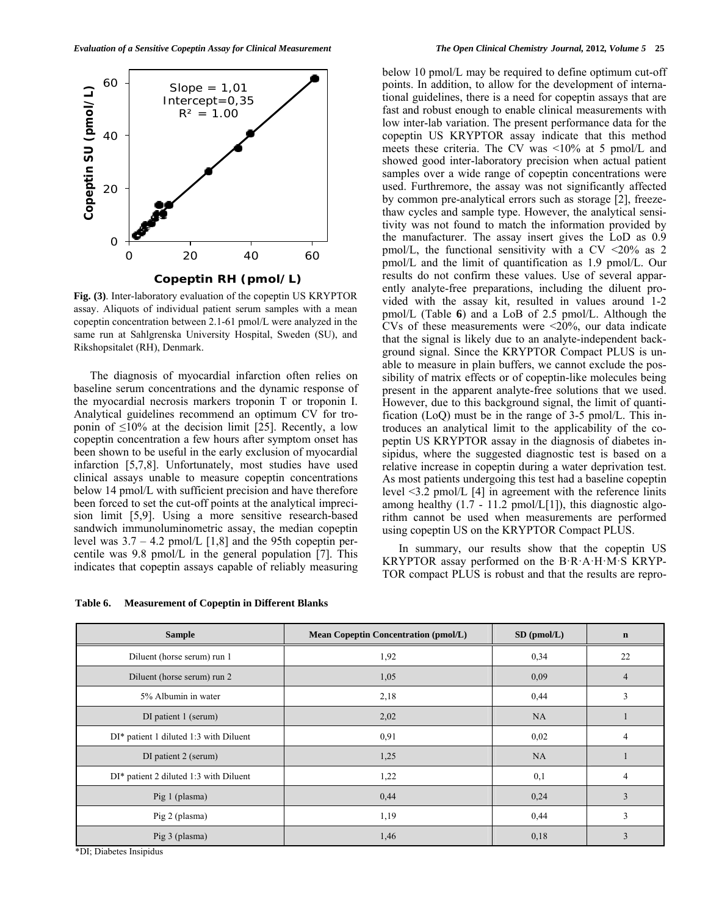

**Fig. (3)**. Inter-laboratory evaluation of the copeptin US KRYPTOR assay. Aliquots of individual patient serum samples with a mean copeptin concentration between 2.1-61 pmol/L were analyzed in the same run at Sahlgrenska University Hospital, Sweden (SU), and Rikshopsitalet (RH), Denmark.

 The diagnosis of myocardial infarction often relies on baseline serum concentrations and the dynamic response of the myocardial necrosis markers troponin T or troponin I. Analytical guidelines recommend an optimum CV for troponin of  $\leq 10\%$  at the decision limit [25]. Recently, a low copeptin concentration a few hours after symptom onset has been shown to be useful in the early exclusion of myocardial infarction [5,7,8]. Unfortunately, most studies have used clinical assays unable to measure copeptin concentrations below 14 pmol/L with sufficient precision and have therefore been forced to set the cut-off points at the analytical imprecision limit [5,9]. Using a more sensitive research-based sandwich immunoluminometric assay, the median copeptin level was  $3.7 - 4.2$  pmol/L [1,8] and the 95th copeptin percentile was 9.8 pmol/L in the general population [7]. This indicates that copeptin assays capable of reliably measuring

**Table 6. Measurement of Copeptin in Different Blanks** 

below 10 pmol/L may be required to define optimum cut-off points. In addition, to allow for the development of international guidelines, there is a need for copeptin assays that are fast and robust enough to enable clinical measurements with low inter-lab variation. The present performance data for the copeptin US KRYPTOR assay indicate that this method meets these criteria. The CV was <10% at 5 pmol/L and showed good inter-laboratory precision when actual patient samples over a wide range of copeptin concentrations were used. Furthremore, the assay was not significantly affected by common pre-analytical errors such as storage [2], freezethaw cycles and sample type. However, the analytical sensitivity was not found to match the information provided by the manufacturer. The assay insert gives the LoD as 0.9 pmol/L, the functional sensitivity with a CV  $\leq$ 20% as 2 pmol/L and the limit of quantification as 1.9 pmol/L. Our results do not confirm these values. Use of several apparently analyte-free preparations, including the diluent provided with the assay kit, resulted in values around 1-2 pmol/L (Table **6**) and a LoB of 2.5 pmol/L. Although the CVs of these measurements were  $\leq 20\%$ , our data indicate that the signal is likely due to an analyte-independent background signal. Since the KRYPTOR Compact PLUS is unable to measure in plain buffers, we cannot exclude the possibility of matrix effects or of copeptin-like molecules being present in the apparent analyte-free solutions that we used. However, due to this background signal, the limit of quantification (LoQ) must be in the range of 3-5 pmol/L. This introduces an analytical limit to the applicability of the copeptin US KRYPTOR assay in the diagnosis of diabetes insipidus, where the suggested diagnostic test is based on a relative increase in copeptin during a water deprivation test. As most patients undergoing this test had a baseline copeptin level <3.2 pmol/L [4] in agreement with the reference linits among healthy  $(1.7 - 11.2 \text{ pmol/L}[1])$ , this diagnostic algorithm cannot be used when measurements are performed using copeptin US on the KRYPTOR Compact PLUS.

 In summary, our results show that the copeptin US KRYPTOR assay performed on the B·R·A·H·M·S KRYP-TOR compact PLUS is robust and that the results are repro-

| <b>Sample</b>                          | <b>Mean Copeptin Concentration (pmol/L)</b> | $SD$ (pmol/L) | $\mathbf n$ |
|----------------------------------------|---------------------------------------------|---------------|-------------|
| Diluent (horse serum) run 1            | 1,92                                        | 0,34          | 22          |
| Diluent (horse serum) run 2            | 1,05                                        | 0,09          | 4           |
| 5% Albumin in water                    | 2,18                                        | 0,44          | 3           |
| DI patient 1 (serum)                   | 2,02                                        | NA            |             |
| DI* patient 1 diluted 1:3 with Diluent | 0,91                                        | 0,02          | 4           |
| DI patient 2 (serum)                   | 1,25                                        | NA            |             |
| DI* patient 2 diluted 1:3 with Diluent | 1,22                                        | 0,1           | 4           |
| Pig 1 (plasma)                         | 0,44                                        | 0,24          | 3           |
| Pig 2 (plasma)                         | 1,19                                        | 0,44          | 3           |
| Pig 3 (plasma)                         | 1,46                                        | 0,18          | 3           |

\*DI; Diabetes Insipidus